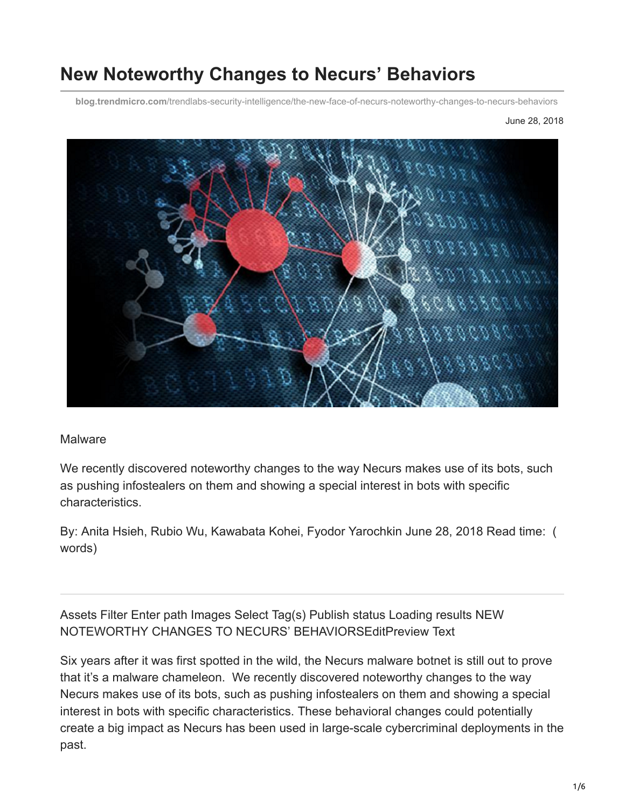# **New Noteworthy Changes to Necurs' Behaviors**

**blog.trendmicro.com**[/trendlabs-security-intelligence/the-new-face-of-necurs-noteworthy-changes-to-necurs-behaviors](https://blog.trendmicro.com/trendlabs-security-intelligence/the-new-face-of-necurs-noteworthy-changes-to-necurs-behaviors)

June 28, 2018



#### **Malware**

We recently discovered noteworthy changes to the way Necurs makes use of its bots, such as pushing infostealers on them and showing a special interest in bots with specific characteristics.

By: Anita Hsieh, Rubio Wu, Kawabata Kohei, Fyodor Yarochkin June 28, 2018 Read time: ( words)

Assets Filter Enter path Images Select Tag(s) Publish status Loading results NEW NOTEWORTHY CHANGES TO NECURS' BEHAVIORSEditPreview Text

Six years after it was first spotted in the wild, the Necurs malware botnet is still out to prove that it's a malware chameleon. We recently discovered noteworthy changes to the way Necurs makes use of its bots, such as pushing infostealers on them and showing a special interest in bots with specific characteristics. These behavioral changes could potentially create a big impact as Necurs has been used in large-scale cybercriminal deployments in the past.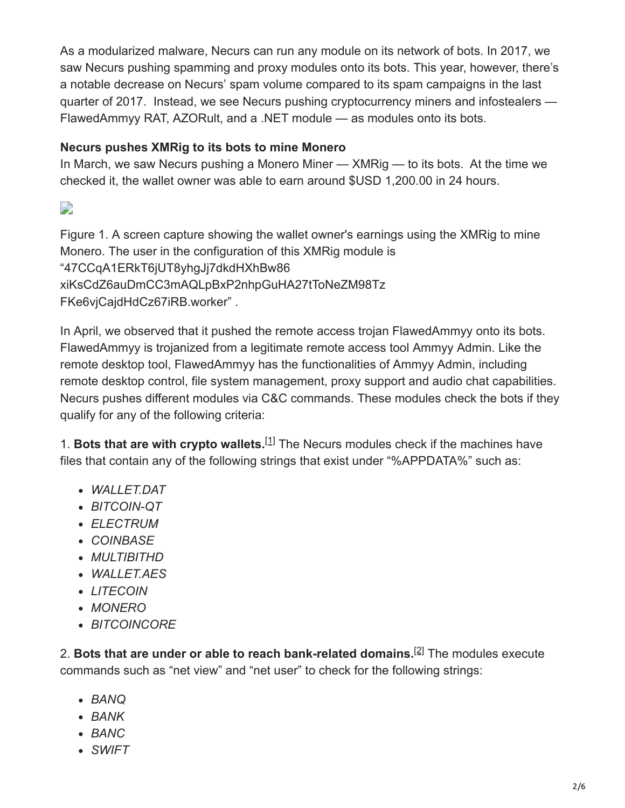As a modularized malware, Necurs can run any module on its network of bots. In 2017, we saw Necurs pushing spamming and proxy modules onto its bots. This year, however, there's a notable decrease on Necurs' spam volume compared to its spam campaigns in the last quarter of 2017. Instead, we see Necurs pushing cryptocurrency miners and infostealers — FlawedAmmyy RAT, AZORult, and a .NET module — as modules onto its bots.

# **Necurs pushes XMRig to its bots to mine Monero**

In March, we saw Necurs pushing a Monero Miner — XMRig — to its bots. At the time we checked it, the wallet owner was able to earn around \$USD 1,200.00 in 24 hours.

 $\Box$ 

Figure 1. A screen capture showing the wallet owner's earnings using the XMRig to mine Monero. The user in the configuration of this XMRig module is "47CCqA1ERkT6jUT8yhgJj7dkdHXhBw86 xiKsCdZ6auDmCC3mAQLpBxP2nhpGuHA27tToNeZM98Tz FKe6vjCajdHdCz67iRB.worker" .

In April, we observed that it pushed the remote access trojan FlawedAmmyy onto its bots. FlawedAmmyy is trojanized from a legitimate remote access tool Ammyy Admin. Like the remote desktop tool, FlawedAmmyy has the functionalities of Ammyy Admin, including remote desktop control, file system management, proxy support and audio chat capabilities. Necurs pushes different modules via C&C commands. These modules check the bots if they qualify for any of the following criteria:

1. Bots that are with crypto wallets.<sup>[\[1\]](#page-5-0)</sup> The Necurs modules check if the machines have files that contain any of the following strings that exist under "%APPDATA%" such as:

- <span id="page-1-0"></span>*WALLET.DAT*
- *BITCOIN-QT*
- *ELECTRUM*
- *COINBASE*
- *MULTIBITHD*
- *WALLET.AES*
- *LITECOIN*
- *MONERO*
- <span id="page-1-1"></span>*BITCOINCORE*

2. Bots that are under or able to reach bank-related domains.<sup>[\[2\]](#page-5-1)</sup> The modules execute commands such as "net view" and "net user" to check for the following strings:

- *BANQ*
- *BANK*
- *BANC*
- *SWIFT*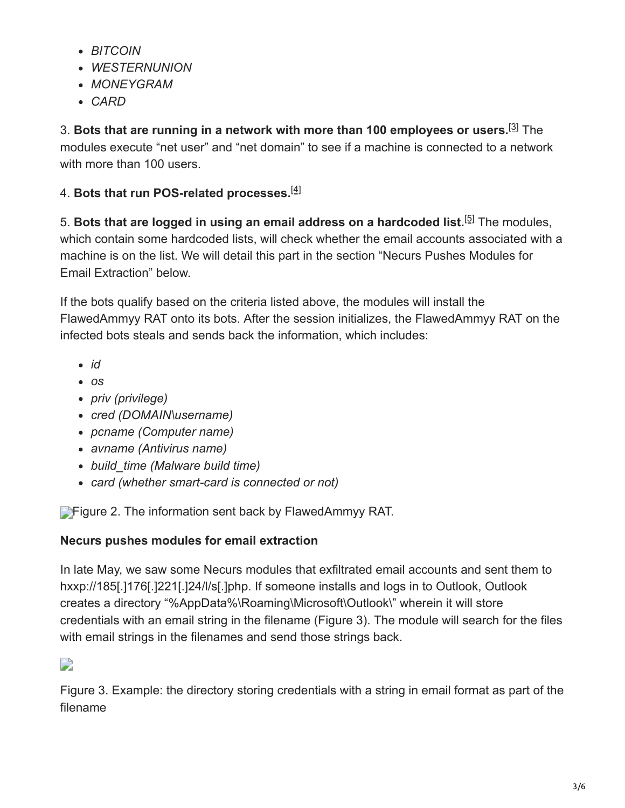- *BITCOIN*
- *WESTERNUNION*
- *MONEYGRAM*
- <span id="page-2-0"></span>*CARD*

3. Bots that are running in a network with more than 100 employees or users.<sup>[\[3\]](#page-5-2)</sup> The modules execute "net user" and "net domain" to see if a machine is connected to a network with more than 100 users.

## <span id="page-2-1"></span>4. **Bots that run POS-related processes.** [\[4\]](#page-5-3)

<span id="page-2-2"></span>5. Bots that are logged in using an email address on a hardcoded list.<sup>[\[5\]](#page-5-4)</sup> The modules, which contain some hardcoded lists, will check whether the email accounts associated with a machine is on the list. We will detail this part in the section "Necurs Pushes Modules for Email Extraction" below.

If the bots qualify based on the criteria listed above, the modules will install the FlawedAmmyy RAT onto its bots. After the session initializes, the FlawedAmmyy RAT on the infected bots steals and sends back the information, which includes:

- *id*
- *os*
- *priv (privilege)*
- *cred (DOMAIN\username)*
- *pcname (Computer name)*
- *avname (Antivirus name)*
- *build\_time (Malware build time)*
- *card (whether smart-card is connected or not)*

**Figure 2. The information sent back by FlawedAmmyy RAT.** 

### **Necurs pushes modules for email extraction**

In late May, we saw some Necurs modules that exfiltrated email accounts and sent them to hxxp://185[.]176[.]221[.]24/l/s[.]php. If someone installs and logs in to Outlook, Outlook creates a directory "%AppData%\Roaming\Microsoft\Outlook\" wherein it will store credentials with an email string in the filename (Figure 3). The module will search for the files with email strings in the filenames and send those strings back.

 $\Box$ 

Figure 3. Example: the directory storing credentials with a string in email format as part of the filename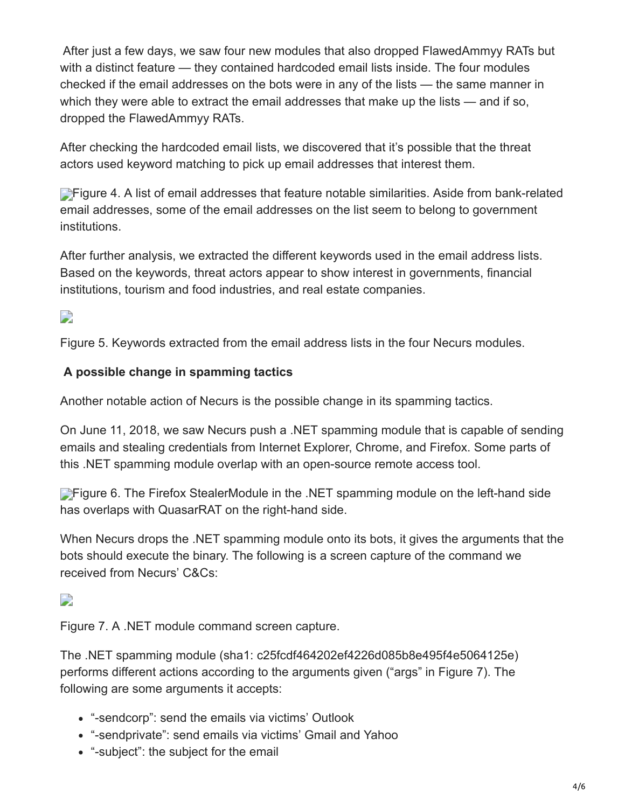After just a few days, we saw four new modules that also dropped FlawedAmmyy RATs but with a distinct feature — they contained hardcoded email lists inside. The four modules checked if the email addresses on the bots were in any of the lists — the same manner in which they were able to extract the email addresses that make up the lists — and if so, dropped the FlawedAmmyy RATs.

After checking the hardcoded email lists, we discovered that it's possible that the threat actors used keyword matching to pick up email addresses that interest them.

**Figure 4. A list of email addresses that feature notable similarities. Aside from bank-related** email addresses, some of the email addresses on the list seem to belong to government institutions.

After further analysis, we extracted the different keywords used in the email address lists. Based on the keywords, threat actors appear to show interest in governments, financial institutions, tourism and food industries, and real estate companies.

 $\overline{\phantom{a}}$ 

Figure 5. Keywords extracted from the email address lists in the four Necurs modules.

#### **A possible change in spamming tactics**

Another notable action of Necurs is the possible change in its spamming tactics.

On June 11, 2018, we saw Necurs push a .NET spamming module that is capable of sending emails and stealing credentials from Internet Explorer, Chrome, and Firefox. Some parts of this .NET spamming module overlap with an open-source remote access tool.

**Figure 6. The Firefox StealerModule in the .NET spamming module on the left-hand side** has overlaps with QuasarRAT on the right-hand side.

When Necurs drops the .NET spamming module onto its bots, it gives the arguments that the bots should execute the binary. The following is a screen capture of the command we received from Necurs' C&Cs:

# $\mathbf{L}$

Figure 7. A .NET module command screen capture.

The .NET spamming module (sha1: c25fcdf464202ef4226d085b8e495f4e5064125e) performs different actions according to the arguments given ("args" in Figure 7). The following are some arguments it accepts:

- "-sendcorp": send the emails via victims' Outlook
- "-sendprivate": send emails via victims' Gmail and Yahoo
- "-subject": the subject for the email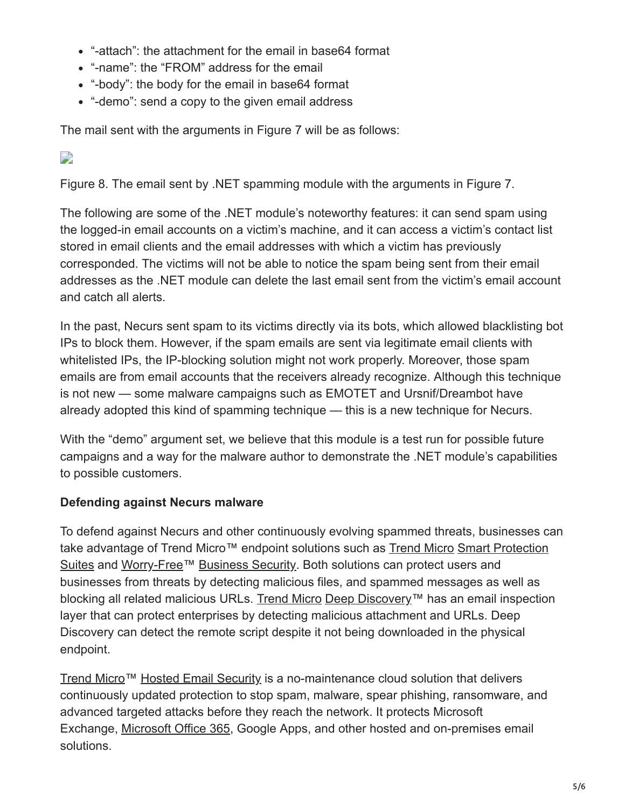- "-attach": the attachment for the email in base64 format
- "-name": the "FROM" address for the email
- "-body": the body for the email in base64 format
- "-demo": send a copy to the given email address

The mail sent with the arguments in Figure 7 will be as follows:

 $\Box$ 

Figure 8. The email sent by .NET spamming module with the arguments in Figure 7.

The following are some of the .NET module's noteworthy features: it can send spam using the logged-in email accounts on a victim's machine, and it can access a victim's contact list stored in email clients and the email addresses with which a victim has previously corresponded. The victims will not be able to notice the spam being sent from their email addresses as the .NET module can delete the last email sent from the victim's email account and catch all alerts.

In the past, Necurs sent spam to its victims directly via its bots, which allowed blacklisting bot IPs to block them. However, if the spam emails are sent via legitimate email clients with whitelisted IPs, the IP-blocking solution might not work properly. Moreover, those spam emails are from email accounts that the receivers already recognize. Although this technique is not new — some malware campaigns such as EMOTET and Ursnif/Dreambot have already adopted this kind of spamming technique — this is a new technique for Necurs.

With the "demo" argument set, we believe that this module is a test run for possible future campaigns and a way for the malware author to demonstrate the .NET module's capabilities to possible customers.

### **Defending against Necurs malware**

To defend against Necurs and other continuously evolving spammed threats, businesses can take advantage of [Trend Micro](https://blog.trendmicro.com/en_us/business/products/user-protection/sps.html)™ endpoint solutions such as Trend Micro Smart Protection [Suites and Worry-Free™ Business Security. Both solutions can protect users and](https://blog.trendmicro.com/en_us/business/products/user-protection/sps.html) businesses from threats by detecting malicious files, and spammed messages as well as blocking all related malicious URLs. [Trend Micro](https://blog.trendmicro.com/en_us/business/products/network/advanced-threat-protection.html) [Deep Discovery™](https://blog.trendmicro.com/en_us/business/products/network/advanced-threat-protection.html) has an email inspection layer that can protect enterprises by detecting malicious attachment and URLs. Deep Discovery can detect the remote script despite it not being downloaded in the physical endpoint.

[Trend Micro](https://blog.trendmicro.com/en_us/business/products/user-protection/sps/email-and-collaboration/email-security.html)™ [Hosted Email Security](https://blog.trendmicro.com/en_us/business/products/user-protection/sps/email-and-collaboration/email-security.html) is a no-maintenance cloud solution that delivers continuously updated protection to stop spam, malware, spear phishing, ransomware, and advanced targeted attacks before they reach the network. It protects Microsoft Exchange, [Microsoft Office 365,](https://blog.trendmicro.com/en_us/business/products/user-protection/sps/email-and-collaboration/cloud-app-security.html) Google Apps, and other hosted and on-premises email solutions.